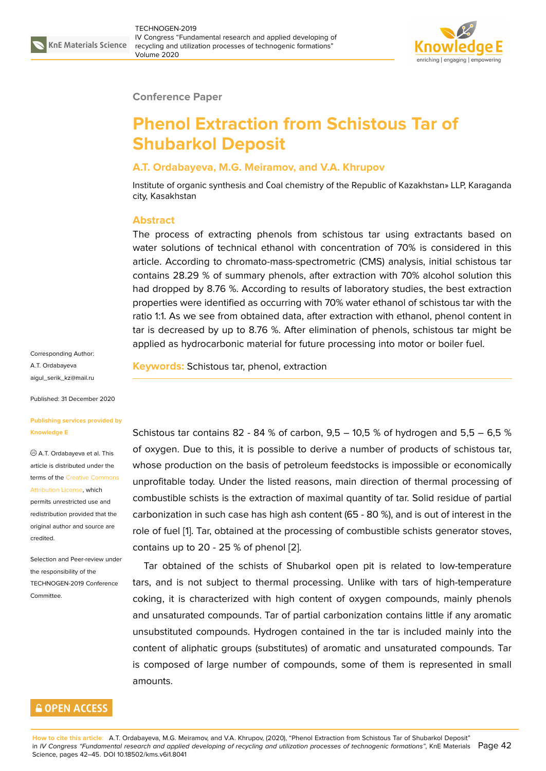

#### **Conference Paper**

# **Phenol Extraction from Schistous Tar of Shubarkol Deposit**

### **A.T. Ordabayeva, M.G. Meiramov, and V.A. Khrupov**

Institute of organic synthesis and Сoal chemistry of the Republic of Kazakhstan» LLP, Karaganda city, Kasakhstan

#### **Abstract**

The process of extracting phenols from schistous tar using extractants based on water solutions of technical ethanol with concentration of 70% is considered in this article. According to chromato-mass-spectrometric (CMS) analysis, initial schistous tar contains 28.29 % of summary phenols, after extraction with 70% alcohol solution this had dropped by 8.76 %. According to results of laboratory studies, the best extraction properties were identified as occurring with 70% water ethanol of schistous tar with the ratio 1:1. As we see from obtained data, after extraction with ethanol, phenol content in tar is decreased by up to 8.76 %. After elimination of phenols, schistous tar might be applied as hydrocarbonic material for future processing into motor or boiler fuel.

Corresponding Author: A.T. Ordabayeva aigul\_serik\_kz@mail.ru

Published: 31 December 2020

#### **[Publishing services pro](mailto:aigul_serik_kz@mail.ru)vided by Knowledge E**

A.T. Ordabayeva et al. This article is distributed under the terms of the Creative Commons Attribution License, which

permits unrestricted use and redistribution provided that the original auth[or and source are](https://creativecommons.org/licenses/by/4.0/) [credited.](https://creativecommons.org/licenses/by/4.0/)

Selection and Peer-review under the responsibility of the TECHNOGEN-2019 Conference Committee.

## **GOPEN ACCESS**

**Keywords:** Schistous tar, phenol, extraction

Schistous tar contains 82 - 84 % of carbon,  $9.5 - 10.5$  % of hydrogen and  $5.5 - 6.5$  % of oxygen. Due to this, it is possible to derive a number of products of schistous tar, whose production on the basis of petroleum feedstocks is impossible or economically unprofitable today. Under the listed reasons, main direction of thermal processing of combustible schists is the extraction of maximal quantity of tar. Solid residue of partial carbonization in such case has high ash content (65 - 80 %), and is out of interest in the role of fuel [1]. Tar, obtained at the processing of combustible schists generator stoves, contains up to 20 - 25 % of phenol [2].

Tar obtained of the schists of Shubarkol open pit is related to low-temperature tars, and is [n](#page-3-0)ot subject to thermal processing. Unlike with tars of high-temperature coking, it is characterized with hig[h](#page-3-1) content of oxygen compounds, mainly phenols and unsaturated compounds. Tar of partial carbonization contains little if any aromatic unsubstituted compounds. Hydrogen contained in the tar is included mainly into the content of aliphatic groups (substitutes) of aromatic and unsaturated compounds. Tar is composed of large number of compounds, some of them is represented in small amounts.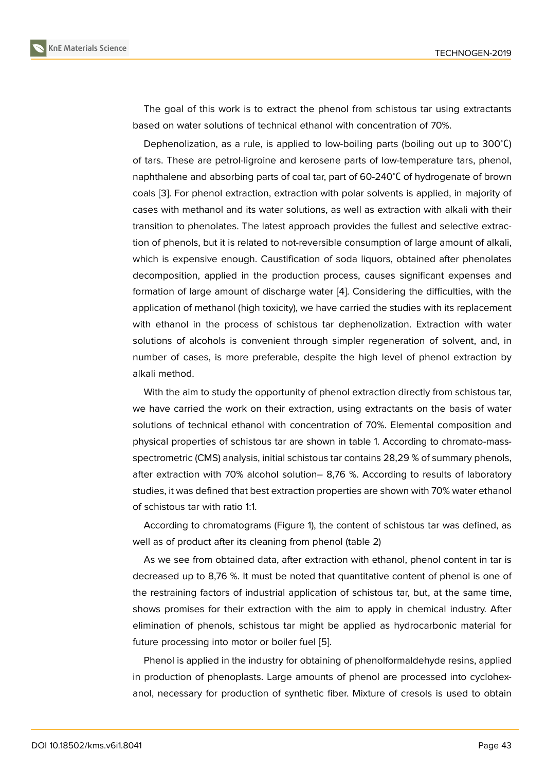The goal of this work is to extract the phenol from schistous tar using extractants based on water solutions of technical ethanol with concentration of 70%.

Dephenolization, as a rule, is applied to low-boiling parts (boiling out up to 300<sup>∘</sup>С) of tars. These are petrol-ligroine and kerosene parts of low-temperature tars, phenol, naphthalene and absorbing parts of coal tar, part of 60-240<sup>∘</sup>С of hydrogenate of brown coals [3]. For phenol extraction, extraction with polar solvents is applied, in majority of cases with methanol and its water solutions, as well as extraction with alkali with their transition to phenolates. The latest approach provides the fullest and selective extraction of [p](#page-3-2)henols, but it is related to not-reversible consumption of large amount of alkali, which is expensive enough. Caustification of soda liquors, obtained after phenolates decomposition, applied in the production process, causes significant expenses and formation of large amount of discharge water [4]. Considering the difficulties, with the application of methanol (high toxicity), we have carried the studies with its replacement with ethanol in the process of schistous tar dephenolization. Extraction with water solutions of alcohols is convenient through s[im](#page-3-3)pler regeneration of solvent, and, in number of cases, is more preferable, despite the high level of phenol extraction by alkali method.

With the aim to study the opportunity of phenol extraction directly from schistous tar, we have carried the work on their extraction, using extractants on the basis of water solutions of technical ethanol with concentration of 70%. Elemental composition and physical properties of schistous tar are shown in table 1. According to chromato-massspectrometric (CMS) analysis, initial schistous tar contains 28,29 % of summary phenols, after extraction with 70% alcohol solution– 8,76 %. According to results of laboratory studies, it was defined that best extraction properties are shown with 70% water ethanol of schistous tar with ratio 1:1.

According to chromatograms (Figure 1), the content of schistous tar was defined, as well as of product after its cleaning from phenol (table 2)

As we see from obtained data, after extraction with ethanol, phenol content in tar is decreased up to 8,76 %. It must be not[ed](#page-2-0) that quantitative content of phenol is one of the restraining factors of industrial application of schistous tar, but, at the same time, shows promises for their extraction with the aim to apply in chemical industry. After elimination of phenols, schistous tar might be applied as hydrocarbonic material for future processing into motor or boiler fuel [5].

Phenol is applied in the industry for obtaining of phenolformaldehyde resins, applied in production of phenoplasts. Large amounts of phenol are processed into cyclohexanol, necessary for production of syntheti[c](#page-3-4) fiber. Mixture of cresols is used to obtain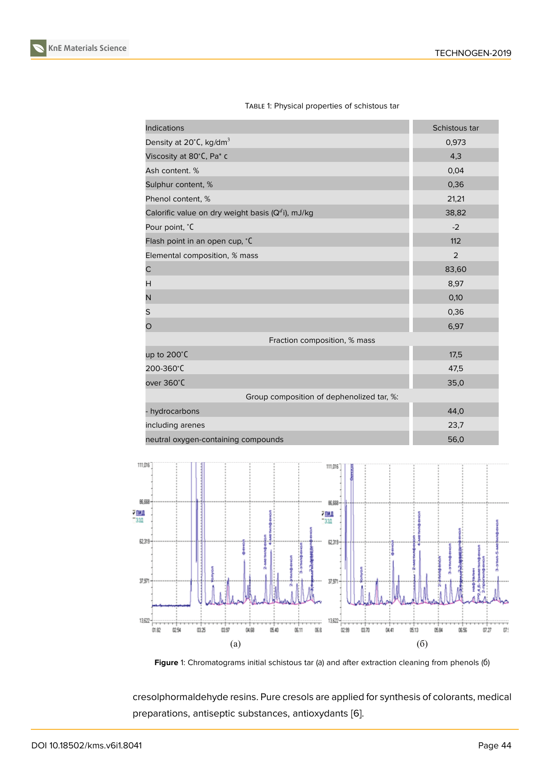| Density at $20^{\circ}$ C, kg/dm <sup>3</sup>      | 0,973 |  |  |
|----------------------------------------------------|-------|--|--|
| Viscosity at 80°C, Pa* c                           | 4,3   |  |  |
| Ash content. %                                     | 0,04  |  |  |
| Sulphur content, %                                 | 0,36  |  |  |
| Phenol content, %                                  | 21,21 |  |  |
| Calorific value on dry weight basis $(Qd)$ , mJ/kg | 38,82 |  |  |
| Pour point, °C                                     | $-2$  |  |  |
| Flash point in an open cup, °C                     | 112   |  |  |
| Elemental composition, % mass                      | 2     |  |  |
| C                                                  | 83,60 |  |  |
| H                                                  | 8,97  |  |  |
| N                                                  | 0,10  |  |  |
| S                                                  | 0,36  |  |  |
| O                                                  | 6,97  |  |  |
| Fraction composition, % mass                       |       |  |  |
| up to $200^{\circ}$ C                              | 17,5  |  |  |
| 200-360°C                                          | 47,5  |  |  |
| over 360°C                                         | 35,0  |  |  |
| Group composition of dephenolized tar, %:          |       |  |  |
| - hydrocarbons                                     | 44,0  |  |  |
| including arenes                                   | 23,7  |  |  |
| neutral oxygen-containing compounds                | 56,0  |  |  |
|                                                    |       |  |  |



**Indications** Schistous tart and the second second second second second second second second second second second second second second second second second second second second second second second second second second sec



<span id="page-2-0"></span>Figure 1: Chromatograms initial schistous tar (a) and after extraction cleaning from phenols (6)

cresolphormaldehyde resins. Pure cresols are applied for synthesis of colorants, medical preparations, antiseptic substances, antioxydants [6].